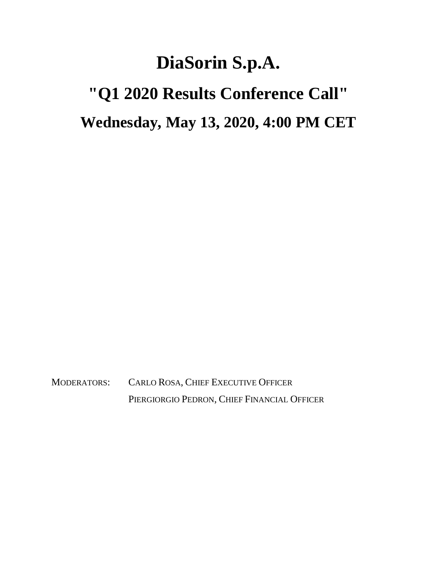## **DiaSorin S.p.A.**

## **"Q1 2020 Results Conference Call" Wednesday, May 13, 2020, 4:00 PM CET**

MODERATORS: CARLO ROSA, CHIEF EXECUTIVE OFFICER PIERGIORGIO PEDRON, CHIEF FINANCIAL OFFICER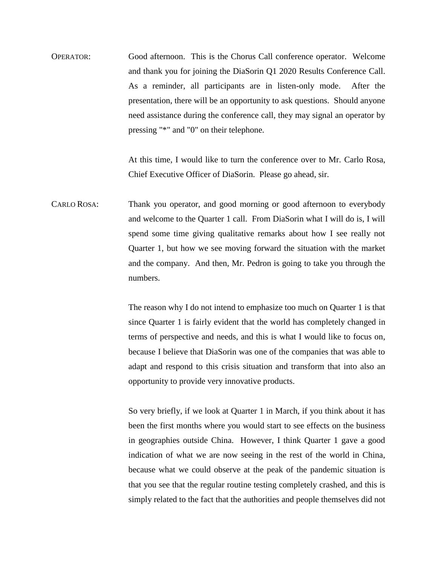OPERATOR: Good afternoon. This is the Chorus Call conference operator. Welcome and thank you for joining the DiaSorin Q1 2020 Results Conference Call. As a reminder, all participants are in listen-only mode. After the presentation, there will be an opportunity to ask questions. Should anyone need assistance during the conference call, they may signal an operator by pressing "\*" and "0" on their telephone.

> At this time, I would like to turn the conference over to Mr. Carlo Rosa, Chief Executive Officer of DiaSorin. Please go ahead, sir.

CARLO ROSA: Thank you operator, and good morning or good afternoon to everybody and welcome to the Quarter 1 call. From DiaSorin what I will do is, I will spend some time giving qualitative remarks about how I see really not Quarter 1, but how we see moving forward the situation with the market and the company. And then, Mr. Pedron is going to take you through the numbers.

> The reason why I do not intend to emphasize too much on Quarter 1 is that since Quarter 1 is fairly evident that the world has completely changed in terms of perspective and needs, and this is what I would like to focus on, because I believe that DiaSorin was one of the companies that was able to adapt and respond to this crisis situation and transform that into also an opportunity to provide very innovative products.

> So very briefly, if we look at Quarter 1 in March, if you think about it has been the first months where you would start to see effects on the business in geographies outside China. However, I think Quarter 1 gave a good indication of what we are now seeing in the rest of the world in China, because what we could observe at the peak of the pandemic situation is that you see that the regular routine testing completely crashed, and this is simply related to the fact that the authorities and people themselves did not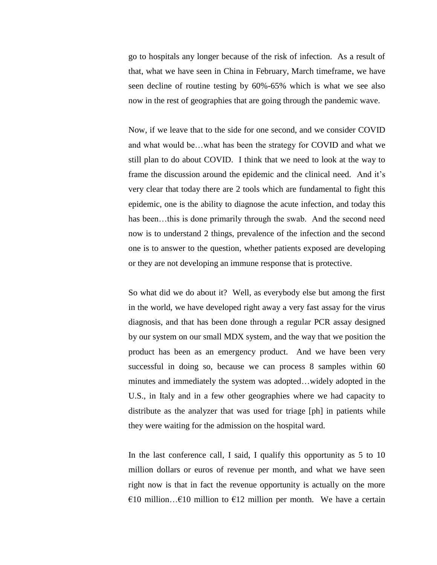go to hospitals any longer because of the risk of infection. As a result of that, what we have seen in China in February, March timeframe, we have seen decline of routine testing by 60%-65% which is what we see also now in the rest of geographies that are going through the pandemic wave.

Now, if we leave that to the side for one second, and we consider COVID and what would be…what has been the strategy for COVID and what we still plan to do about COVID. I think that we need to look at the way to frame the discussion around the epidemic and the clinical need. And it's very clear that today there are 2 tools which are fundamental to fight this epidemic, one is the ability to diagnose the acute infection, and today this has been...this is done primarily through the swab. And the second need now is to understand 2 things, prevalence of the infection and the second one is to answer to the question, whether patients exposed are developing or they are not developing an immune response that is protective.

So what did we do about it? Well, as everybody else but among the first in the world, we have developed right away a very fast assay for the virus diagnosis, and that has been done through a regular PCR assay designed by our system on our small MDX system, and the way that we position the product has been as an emergency product. And we have been very successful in doing so, because we can process 8 samples within 60 minutes and immediately the system was adopted…widely adopted in the U.S., in Italy and in a few other geographies where we had capacity to distribute as the analyzer that was used for triage [ph] in patients while they were waiting for the admission on the hospital ward.

In the last conference call, I said, I qualify this opportunity as 5 to 10 million dollars or euros of revenue per month, and what we have seen right now is that in fact the revenue opportunity is actually on the more €10 million...€10 million to €12 million per month. We have a certain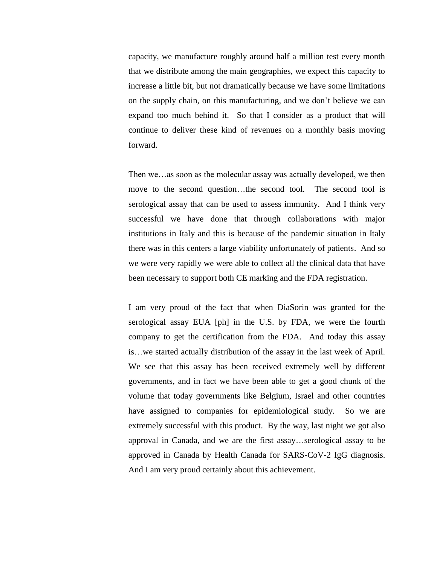capacity, we manufacture roughly around half a million test every month that we distribute among the main geographies, we expect this capacity to increase a little bit, but not dramatically because we have some limitations on the supply chain, on this manufacturing, and we don't believe we can expand too much behind it. So that I consider as a product that will continue to deliver these kind of revenues on a monthly basis moving forward.

Then we…as soon as the molecular assay was actually developed, we then move to the second question…the second tool. The second tool is serological assay that can be used to assess immunity. And I think very successful we have done that through collaborations with major institutions in Italy and this is because of the pandemic situation in Italy there was in this centers a large viability unfortunately of patients. And so we were very rapidly we were able to collect all the clinical data that have been necessary to support both CE marking and the FDA registration.

I am very proud of the fact that when DiaSorin was granted for the serological assay EUA [ph] in the U.S. by FDA, we were the fourth company to get the certification from the FDA. And today this assay is…we started actually distribution of the assay in the last week of April. We see that this assay has been received extremely well by different governments, and in fact we have been able to get a good chunk of the volume that today governments like Belgium, Israel and other countries have assigned to companies for epidemiological study. So we are extremely successful with this product. By the way, last night we got also approval in Canada, and we are the first assay…serological assay to be approved in Canada by Health Canada for SARS-CoV-2 IgG diagnosis. And I am very proud certainly about this achievement.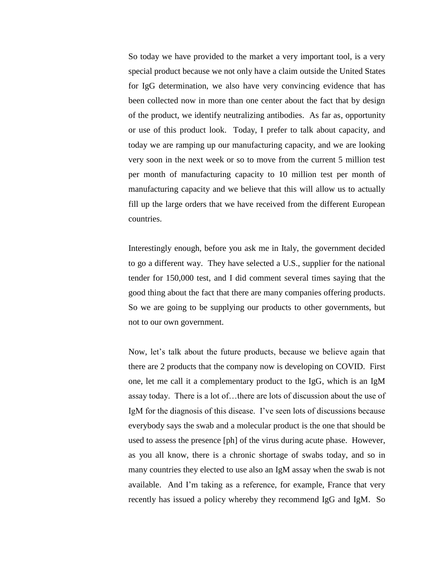So today we have provided to the market a very important tool, is a very special product because we not only have a claim outside the United States for IgG determination, we also have very convincing evidence that has been collected now in more than one center about the fact that by design of the product, we identify neutralizing antibodies. As far as, opportunity or use of this product look. Today, I prefer to talk about capacity, and today we are ramping up our manufacturing capacity, and we are looking very soon in the next week or so to move from the current 5 million test per month of manufacturing capacity to 10 million test per month of manufacturing capacity and we believe that this will allow us to actually fill up the large orders that we have received from the different European countries.

Interestingly enough, before you ask me in Italy, the government decided to go a different way. They have selected a U.S., supplier for the national tender for 150,000 test, and I did comment several times saying that the good thing about the fact that there are many companies offering products. So we are going to be supplying our products to other governments, but not to our own government.

Now, let's talk about the future products, because we believe again that there are 2 products that the company now is developing on COVID. First one, let me call it a complementary product to the IgG, which is an IgM assay today. There is a lot of…there are lots of discussion about the use of IgM for the diagnosis of this disease. I've seen lots of discussions because everybody says the swab and a molecular product is the one that should be used to assess the presence [ph] of the virus during acute phase. However, as you all know, there is a chronic shortage of swabs today, and so in many countries they elected to use also an IgM assay when the swab is not available. And I'm taking as a reference, for example, France that very recently has issued a policy whereby they recommend IgG and IgM. So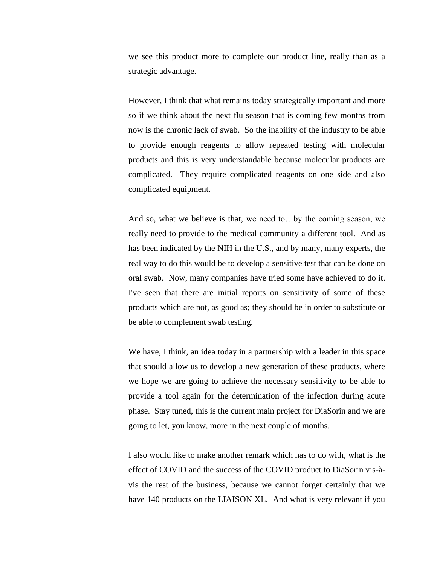we see this product more to complete our product line, really than as a strategic advantage.

However, I think that what remains today strategically important and more so if we think about the next flu season that is coming few months from now is the chronic lack of swab. So the inability of the industry to be able to provide enough reagents to allow repeated testing with molecular products and this is very understandable because molecular products are complicated. They require complicated reagents on one side and also complicated equipment.

And so, what we believe is that, we need to…by the coming season, we really need to provide to the medical community a different tool. And as has been indicated by the NIH in the U.S., and by many, many experts, the real way to do this would be to develop a sensitive test that can be done on oral swab. Now, many companies have tried some have achieved to do it. I've seen that there are initial reports on sensitivity of some of these products which are not, as good as; they should be in order to substitute or be able to complement swab testing.

We have, I think, an idea today in a partnership with a leader in this space that should allow us to develop a new generation of these products, where we hope we are going to achieve the necessary sensitivity to be able to provide a tool again for the determination of the infection during acute phase. Stay tuned, this is the current main project for DiaSorin and we are going to let, you know, more in the next couple of months.

I also would like to make another remark which has to do with, what is the effect of COVID and the success of the COVID product to DiaSorin vis-àvis the rest of the business, because we cannot forget certainly that we have 140 products on the LIAISON XL. And what is very relevant if you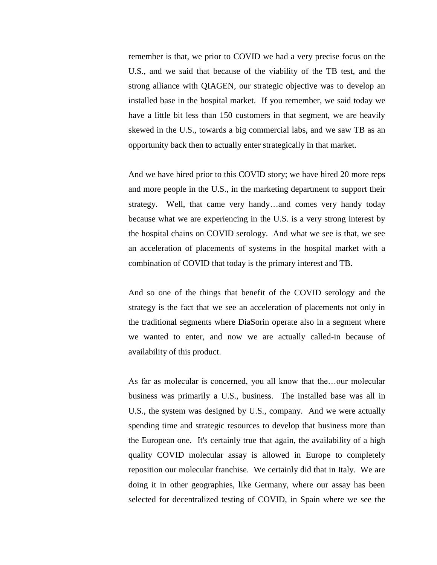remember is that, we prior to COVID we had a very precise focus on the U.S., and we said that because of the viability of the TB test, and the strong alliance with QIAGEN, our strategic objective was to develop an installed base in the hospital market. If you remember, we said today we have a little bit less than 150 customers in that segment, we are heavily skewed in the U.S., towards a big commercial labs, and we saw TB as an opportunity back then to actually enter strategically in that market.

And we have hired prior to this COVID story; we have hired 20 more reps and more people in the U.S., in the marketing department to support their strategy. Well, that came very handy…and comes very handy today because what we are experiencing in the U.S. is a very strong interest by the hospital chains on COVID serology. And what we see is that, we see an acceleration of placements of systems in the hospital market with a combination of COVID that today is the primary interest and TB.

And so one of the things that benefit of the COVID serology and the strategy is the fact that we see an acceleration of placements not only in the traditional segments where DiaSorin operate also in a segment where we wanted to enter, and now we are actually called-in because of availability of this product.

As far as molecular is concerned, you all know that the…our molecular business was primarily a U.S., business. The installed base was all in U.S., the system was designed by U.S., company. And we were actually spending time and strategic resources to develop that business more than the European one. It's certainly true that again, the availability of a high quality COVID molecular assay is allowed in Europe to completely reposition our molecular franchise. We certainly did that in Italy. We are doing it in other geographies, like Germany, where our assay has been selected for decentralized testing of COVID, in Spain where we see the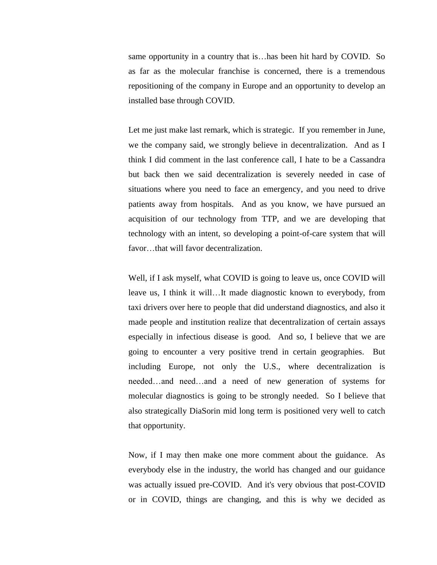same opportunity in a country that is…has been hit hard by COVID. So as far as the molecular franchise is concerned, there is a tremendous repositioning of the company in Europe and an opportunity to develop an installed base through COVID.

Let me just make last remark, which is strategic. If you remember in June, we the company said, we strongly believe in decentralization. And as I think I did comment in the last conference call, I hate to be a Cassandra but back then we said decentralization is severely needed in case of situations where you need to face an emergency, and you need to drive patients away from hospitals. And as you know, we have pursued an acquisition of our technology from TTP, and we are developing that technology with an intent, so developing a point-of-care system that will favor…that will favor decentralization.

Well, if I ask myself, what COVID is going to leave us, once COVID will leave us, I think it will…It made diagnostic known to everybody, from taxi drivers over here to people that did understand diagnostics, and also it made people and institution realize that decentralization of certain assays especially in infectious disease is good. And so, I believe that we are going to encounter a very positive trend in certain geographies. But including Europe, not only the U.S., where decentralization is needed…and need…and a need of new generation of systems for molecular diagnostics is going to be strongly needed. So I believe that also strategically DiaSorin mid long term is positioned very well to catch that opportunity.

Now, if I may then make one more comment about the guidance. As everybody else in the industry, the world has changed and our guidance was actually issued pre-COVID. And it's very obvious that post-COVID or in COVID, things are changing, and this is why we decided as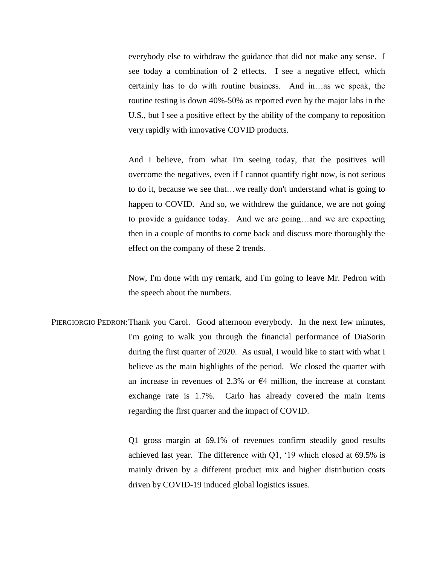everybody else to withdraw the guidance that did not make any sense. I see today a combination of 2 effects. I see a negative effect, which certainly has to do with routine business. And in…as we speak, the routine testing is down 40%-50% as reported even by the major labs in the U.S., but I see a positive effect by the ability of the company to reposition very rapidly with innovative COVID products.

And I believe, from what I'm seeing today, that the positives will overcome the negatives, even if I cannot quantify right now, is not serious to do it, because we see that…we really don't understand what is going to happen to COVID. And so, we withdrew the guidance, we are not going to provide a guidance today. And we are going…and we are expecting then in a couple of months to come back and discuss more thoroughly the effect on the company of these 2 trends.

Now, I'm done with my remark, and I'm going to leave Mr. Pedron with the speech about the numbers.

PIERGIORGIO PEDRON: Thank you Carol. Good afternoon everybody. In the next few minutes, I'm going to walk you through the financial performance of DiaSorin during the first quarter of 2020. As usual, I would like to start with what I believe as the main highlights of the period. We closed the quarter with an increase in revenues of 2.3% or  $\epsilon$ 4 million, the increase at constant exchange rate is 1.7%. Carlo has already covered the main items regarding the first quarter and the impact of COVID.

> Q1 gross margin at 69.1% of revenues confirm steadily good results achieved last year. The difference with Q1, '19 which closed at 69.5% is mainly driven by a different product mix and higher distribution costs driven by COVID-19 induced global logistics issues.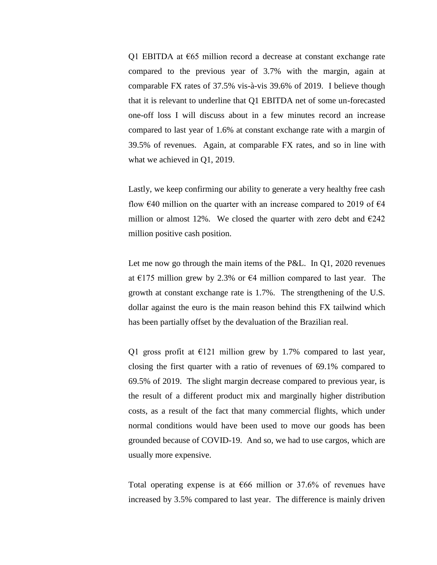Q1 EBITDA at  $665$  million record a decrease at constant exchange rate compared to the previous year of 3.7% with the margin, again at comparable FX rates of 37.5% vis-à-vis 39.6% of 2019. I believe though that it is relevant to underline that Q1 EBITDA net of some un-forecasted one-off loss I will discuss about in a few minutes record an increase compared to last year of 1.6% at constant exchange rate with a margin of 39.5% of revenues. Again, at comparable FX rates, and so in line with what we achieved in Q1, 2019.

Lastly, we keep confirming our ability to generate a very healthy free cash flow  $\epsilon$ 40 million on the quarter with an increase compared to 2019 of  $\epsilon$ 4 million or almost 12%. We closed the quarter with zero debt and  $\epsilon$ 242 million positive cash position.

Let me now go through the main items of the P&L. In Q1, 2020 revenues at  $\epsilon$ 175 million grew by 2.3% or  $\epsilon$ 4 million compared to last year. The growth at constant exchange rate is 1.7%. The strengthening of the U.S. dollar against the euro is the main reason behind this FX tailwind which has been partially offset by the devaluation of the Brazilian real.

Q1 gross profit at  $E121$  million grew by 1.7% compared to last year, closing the first quarter with a ratio of revenues of 69.1% compared to 69.5% of 2019. The slight margin decrease compared to previous year, is the result of a different product mix and marginally higher distribution costs, as a result of the fact that many commercial flights, which under normal conditions would have been used to move our goods has been grounded because of COVID-19. And so, we had to use cargos, which are usually more expensive.

Total operating expense is at  $666$  million or 37.6% of revenues have increased by 3.5% compared to last year. The difference is mainly driven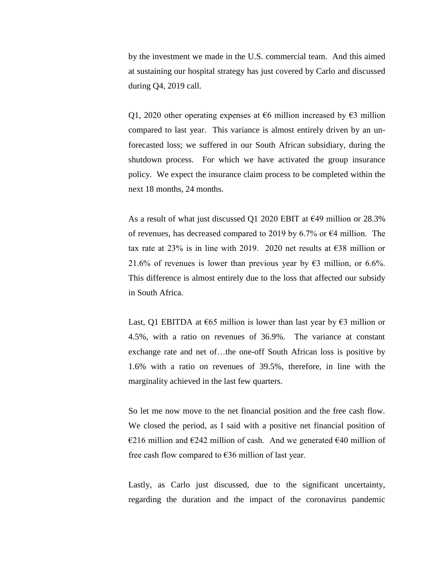by the investment we made in the U.S. commercial team. And this aimed at sustaining our hospital strategy has just covered by Carlo and discussed during Q4, 2019 call.

Q1, 2020 other operating expenses at  $\epsilon$ 6 million increased by  $\epsilon$ 3 million compared to last year. This variance is almost entirely driven by an unforecasted loss; we suffered in our South African subsidiary, during the shutdown process. For which we have activated the group insurance policy. We expect the insurance claim process to be completed within the next 18 months, 24 months.

As a result of what just discussed Q1 2020 EBIT at  $\epsilon$ 49 million or 28.3% of revenues, has decreased compared to 2019 by 6.7% or  $\epsilon$ 4 million. The tax rate at 23% is in line with 2019. 2020 net results at  $\epsilon$ 38 million or 21.6% of revenues is lower than previous year by  $\epsilon$ 3 million, or 6.6%. This difference is almost entirely due to the loss that affected our subsidy in South Africa.

Last, Q1 EBITDA at  $\epsilon$ 65 million is lower than last year by  $\epsilon$ 3 million or 4.5%, with a ratio on revenues of 36.9%. The variance at constant exchange rate and net of…the one-off South African loss is positive by 1.6% with a ratio on revenues of 39.5%, therefore, in line with the marginality achieved in the last few quarters.

So let me now move to the net financial position and the free cash flow. We closed the period, as I said with a positive net financial position of €216 million and €242 million of cash. And we generated €40 million of free cash flow compared to  $\epsilon$ 36 million of last year.

Lastly, as Carlo just discussed, due to the significant uncertainty, regarding the duration and the impact of the coronavirus pandemic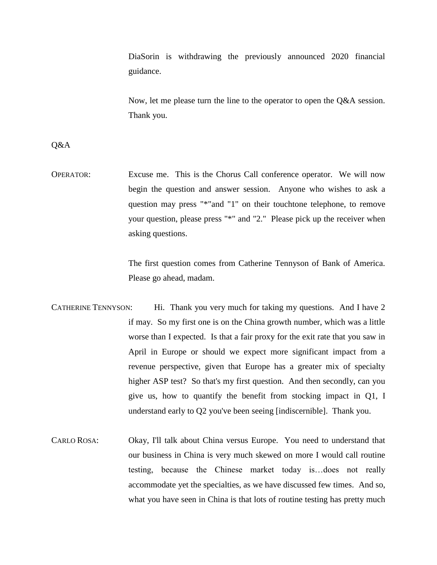DiaSorin is withdrawing the previously announced 2020 financial guidance.

Now, let me please turn the line to the operator to open the Q&A session. Thank you.

Q&A

OPERATOR: Excuse me. This is the Chorus Call conference operator. We will now begin the question and answer session. Anyone who wishes to ask a question may press "\*"and "1" on their touchtone telephone, to remove your question, please press "\*" and "2." Please pick up the receiver when asking questions.

> The first question comes from Catherine Tennyson of Bank of America. Please go ahead, madam.

- CATHERINE TENNYSON: Hi. Thank you very much for taking my questions. And I have 2 if may. So my first one is on the China growth number, which was a little worse than I expected. Is that a fair proxy for the exit rate that you saw in April in Europe or should we expect more significant impact from a revenue perspective, given that Europe has a greater mix of specialty higher ASP test? So that's my first question. And then secondly, can you give us, how to quantify the benefit from stocking impact in Q1, I understand early to Q2 you've been seeing [indiscernible].Thank you.
- CARLO ROSA: Okay, I'll talk about China versus Europe. You need to understand that our business in China is very much skewed on more I would call routine testing, because the Chinese market today is…does not really accommodate yet the specialties, as we have discussed few times. And so, what you have seen in China is that lots of routine testing has pretty much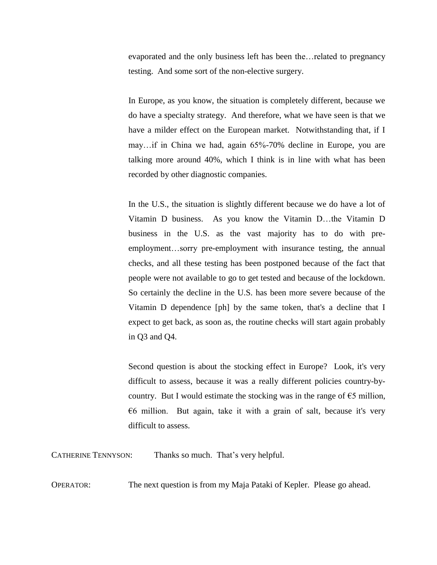evaporated and the only business left has been the…related to pregnancy testing. And some sort of the non-elective surgery.

In Europe, as you know, the situation is completely different, because we do have a specialty strategy. And therefore, what we have seen is that we have a milder effect on the European market. Notwithstanding that, if I may…if in China we had, again 65%-70% decline in Europe, you are talking more around 40%, which I think is in line with what has been recorded by other diagnostic companies.

In the U.S., the situation is slightly different because we do have a lot of Vitamin D business. As you know the Vitamin D…the Vitamin D business in the U.S. as the vast majority has to do with preemployment…sorry pre-employment with insurance testing, the annual checks, and all these testing has been postponed because of the fact that people were not available to go to get tested and because of the lockdown. So certainly the decline in the U.S. has been more severe because of the Vitamin D dependence [ph] by the same token, that's a decline that I expect to get back, as soon as, the routine checks will start again probably in Q3 and Q4.

Second question is about the stocking effect in Europe? Look, it's very difficult to assess, because it was a really different policies country-bycountry. But I would estimate the stocking was in the range of  $\epsilon$ 5 million,  $66$  million. But again, take it with a grain of salt, because it's very difficult to assess.

CATHERINE TENNYSON: Thanks so much. That's very helpful.

OPERATOR: The next question is from my Maja Pataki of Kepler. Please go ahead.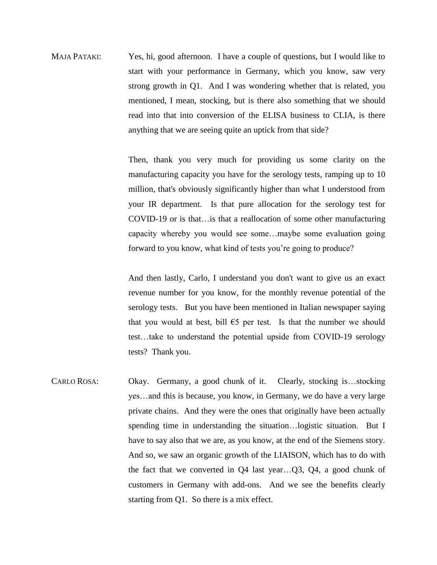MAJA PATAKI: Yes, hi, good afternoon. I have a couple of questions, but I would like to start with your performance in Germany, which you know, saw very strong growth in Q1. And I was wondering whether that is related, you mentioned, I mean, stocking, but is there also something that we should read into that into conversion of the ELISA business to CLIA, is there anything that we are seeing quite an uptick from that side?

> Then, thank you very much for providing us some clarity on the manufacturing capacity you have for the serology tests, ramping up to 10 million, that's obviously significantly higher than what I understood from your IR department. Is that pure allocation for the serology test for COVID-19 or is that…is that a reallocation of some other manufacturing capacity whereby you would see some…maybe some evaluation going forward to you know, what kind of tests you're going to produce?

> And then lastly, Carlo, I understand you don't want to give us an exact revenue number for you know, for the monthly revenue potential of the serology tests. But you have been mentioned in Italian newspaper saying that you would at best, bill  $\epsilon$ 5 per test. Is that the number we should test…take to understand the potential upside from COVID-19 serology tests? Thank you.

CARLO ROSA: Okay. Germany, a good chunk of it. Clearly, stocking is…stocking yes…and this is because, you know, in Germany, we do have a very large private chains. And they were the ones that originally have been actually spending time in understanding the situation…logistic situation. But I have to say also that we are, as you know, at the end of the Siemens story. And so, we saw an organic growth of the LIAISON, which has to do with the fact that we converted in Q4 last year…Q3, Q4, a good chunk of customers in Germany with add-ons. And we see the benefits clearly starting from Q1. So there is a mix effect.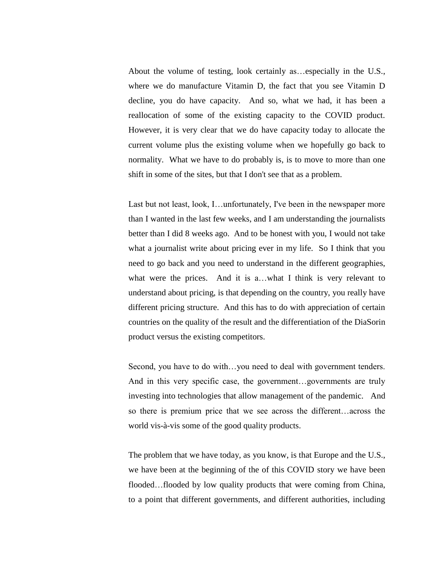About the volume of testing, look certainly as…especially in the U.S., where we do manufacture Vitamin D, the fact that you see Vitamin D decline, you do have capacity. And so, what we had, it has been a reallocation of some of the existing capacity to the COVID product. However, it is very clear that we do have capacity today to allocate the current volume plus the existing volume when we hopefully go back to normality. What we have to do probably is, is to move to more than one shift in some of the sites, but that I don't see that as a problem.

Last but not least, look, I…unfortunately, I've been in the newspaper more than I wanted in the last few weeks, and I am understanding the journalists better than I did 8 weeks ago. And to be honest with you, I would not take what a journalist write about pricing ever in my life. So I think that you need to go back and you need to understand in the different geographies, what were the prices. And it is a...what I think is very relevant to understand about pricing, is that depending on the country, you really have different pricing structure. And this has to do with appreciation of certain countries on the quality of the result and the differentiation of the DiaSorin product versus the existing competitors.

Second, you have to do with…you need to deal with government tenders. And in this very specific case, the government…governments are truly investing into technologies that allow management of the pandemic. And so there is premium price that we see across the different…across the world vis-à-vis some of the good quality products.

The problem that we have today, as you know, is that Europe and the U.S., we have been at the beginning of the of this COVID story we have been flooded…flooded by low quality products that were coming from China, to a point that different governments, and different authorities, including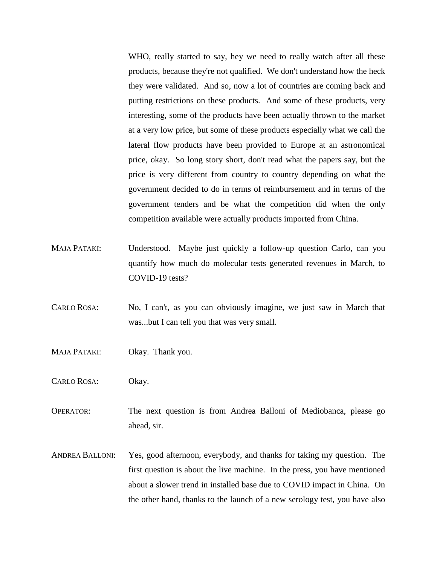WHO, really started to say, hey we need to really watch after all these products, because they're not qualified. We don't understand how the heck they were validated. And so, now a lot of countries are coming back and putting restrictions on these products. And some of these products, very interesting, some of the products have been actually thrown to the market at a very low price, but some of these products especially what we call the lateral flow products have been provided to Europe at an astronomical price, okay. So long story short, don't read what the papers say, but the price is very different from country to country depending on what the government decided to do in terms of reimbursement and in terms of the government tenders and be what the competition did when the only competition available were actually products imported from China.

- MAJA PATAKI: Understood. Maybe just quickly a follow-up question Carlo, can you quantify how much do molecular tests generated revenues in March, to COVID-19 tests?
- CARLO ROSA: No, I can't, as you can obviously imagine, we just saw in March that was...but I can tell you that was very small.
- MAJA PATAKI: Okay. Thank you.
- CARLO ROSA: Okay.
- OPERATOR: The next question is from Andrea Balloni of Mediobanca, please go ahead, sir.
- ANDREA BALLONI: Yes, good afternoon, everybody, and thanks for taking my question. The first question is about the live machine. In the press, you have mentioned about a slower trend in installed base due to COVID impact in China. On the other hand, thanks to the launch of a new serology test, you have also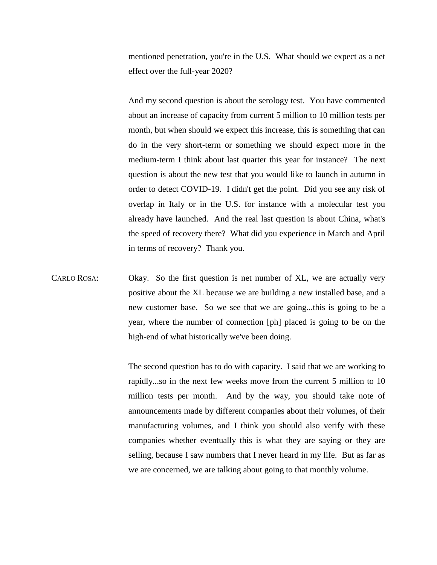mentioned penetration, you're in the U.S. What should we expect as a net effect over the full-year 2020?

And my second question is about the serology test. You have commented about an increase of capacity from current 5 million to 10 million tests per month, but when should we expect this increase, this is something that can do in the very short-term or something we should expect more in the medium-term I think about last quarter this year for instance? The next question is about the new test that you would like to launch in autumn in order to detect COVID-19. I didn't get the point. Did you see any risk of overlap in Italy or in the U.S. for instance with a molecular test you already have launched. And the real last question is about China, what's the speed of recovery there? What did you experience in March and April in terms of recovery? Thank you.

CARLO ROSA: Okay. So the first question is net number of XL, we are actually very positive about the XL because we are building a new installed base, and a new customer base. So we see that we are going...this is going to be a year, where the number of connection [ph] placed is going to be on the high-end of what historically we've been doing.

> The second question has to do with capacity. I said that we are working to rapidly...so in the next few weeks move from the current 5 million to 10 million tests per month. And by the way, you should take note of announcements made by different companies about their volumes, of their manufacturing volumes, and I think you should also verify with these companies whether eventually this is what they are saying or they are selling, because I saw numbers that I never heard in my life. But as far as we are concerned, we are talking about going to that monthly volume.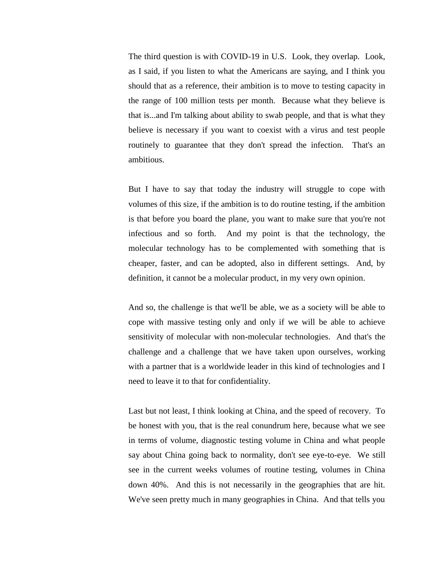The third question is with COVID-19 in U.S. Look, they overlap. Look, as I said, if you listen to what the Americans are saying, and I think you should that as a reference, their ambition is to move to testing capacity in the range of 100 million tests per month. Because what they believe is that is...and I'm talking about ability to swab people, and that is what they believe is necessary if you want to coexist with a virus and test people routinely to guarantee that they don't spread the infection. That's an ambitious.

But I have to say that today the industry will struggle to cope with volumes of this size, if the ambition is to do routine testing, if the ambition is that before you board the plane, you want to make sure that you're not infectious and so forth. And my point is that the technology, the molecular technology has to be complemented with something that is cheaper, faster, and can be adopted, also in different settings. And, by definition, it cannot be a molecular product, in my very own opinion.

And so, the challenge is that we'll be able, we as a society will be able to cope with massive testing only and only if we will be able to achieve sensitivity of molecular with non-molecular technologies. And that's the challenge and a challenge that we have taken upon ourselves, working with a partner that is a worldwide leader in this kind of technologies and I need to leave it to that for confidentiality.

Last but not least, I think looking at China, and the speed of recovery. To be honest with you, that is the real conundrum here, because what we see in terms of volume, diagnostic testing volume in China and what people say about China going back to normality, don't see eye-to-eye. We still see in the current weeks volumes of routine testing, volumes in China down 40%. And this is not necessarily in the geographies that are hit. We've seen pretty much in many geographies in China. And that tells you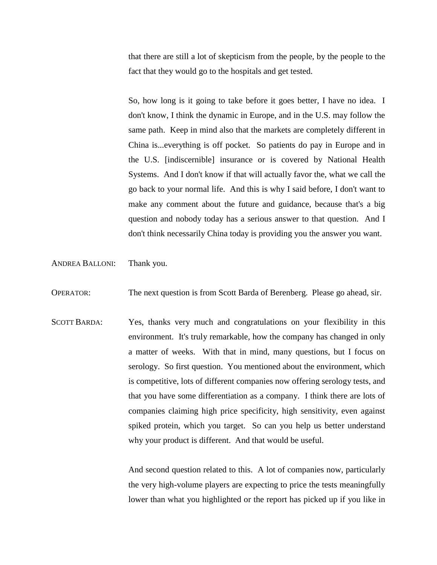that there are still a lot of skepticism from the people, by the people to the fact that they would go to the hospitals and get tested.

So, how long is it going to take before it goes better, I have no idea. I don't know, I think the dynamic in Europe, and in the U.S. may follow the same path. Keep in mind also that the markets are completely different in China is...everything is off pocket. So patients do pay in Europe and in the U.S. [indiscernible] insurance or is covered by National Health Systems. And I don't know if that will actually favor the, what we call the go back to your normal life. And this is why I said before, I don't want to make any comment about the future and guidance, because that's a big question and nobody today has a serious answer to that question. And I don't think necessarily China today is providing you the answer you want.

ANDREA BALLONI: Thank you.

OPERATOR: The next question is from Scott Barda of Berenberg. Please go ahead, sir.

SCOTT BARDA: Yes, thanks very much and congratulations on your flexibility in this environment. It's truly remarkable, how the company has changed in only a matter of weeks. With that in mind, many questions, but I focus on serology. So first question. You mentioned about the environment, which is competitive, lots of different companies now offering serology tests, and that you have some differentiation as a company. I think there are lots of companies claiming high price specificity, high sensitivity, even against spiked protein, which you target. So can you help us better understand why your product is different. And that would be useful.

> And second question related to this. A lot of companies now, particularly the very high-volume players are expecting to price the tests meaningfully lower than what you highlighted or the report has picked up if you like in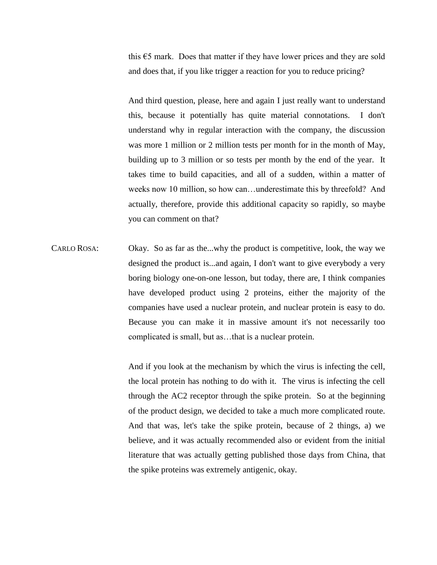this  $\epsilon$ 5 mark. Does that matter if they have lower prices and they are sold and does that, if you like trigger a reaction for you to reduce pricing?

And third question, please, here and again I just really want to understand this, because it potentially has quite material connotations. I don't understand why in regular interaction with the company, the discussion was more 1 million or 2 million tests per month for in the month of May, building up to 3 million or so tests per month by the end of the year. It takes time to build capacities, and all of a sudden, within a matter of weeks now 10 million, so how can…underestimate this by threefold? And actually, therefore, provide this additional capacity so rapidly, so maybe you can comment on that?

CARLO ROSA: Okay. So as far as the...why the product is competitive, look, the way we designed the product is...and again, I don't want to give everybody a very boring biology one-on-one lesson, but today, there are, I think companies have developed product using 2 proteins, either the majority of the companies have used a nuclear protein, and nuclear protein is easy to do. Because you can make it in massive amount it's not necessarily too complicated is small, but as…that is a nuclear protein.

> And if you look at the mechanism by which the virus is infecting the cell, the local protein has nothing to do with it. The virus is infecting the cell through the AC2 receptor through the spike protein. So at the beginning of the product design, we decided to take a much more complicated route. And that was, let's take the spike protein, because of 2 things, a) we believe, and it was actually recommended also or evident from the initial literature that was actually getting published those days from China, that the spike proteins was extremely antigenic, okay.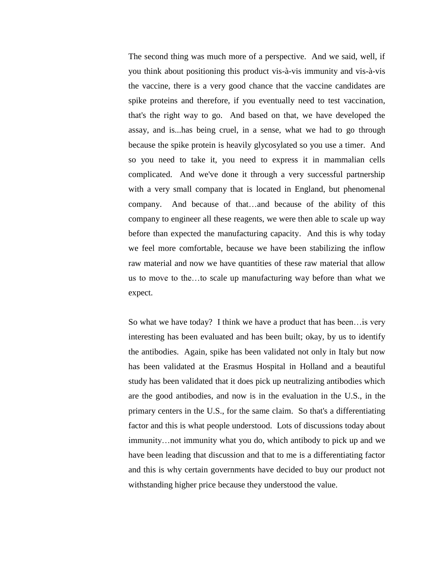The second thing was much more of a perspective. And we said, well, if you think about positioning this product vis-à-vis immunity and vis-à-vis the vaccine, there is a very good chance that the vaccine candidates are spike proteins and therefore, if you eventually need to test vaccination, that's the right way to go. And based on that, we have developed the assay, and is...has being cruel, in a sense, what we had to go through because the spike protein is heavily glycosylated so you use a timer. And so you need to take it, you need to express it in mammalian cells complicated. And we've done it through a very successful partnership with a very small company that is located in England, but phenomenal company. And because of that…and because of the ability of this company to engineer all these reagents, we were then able to scale up way before than expected the manufacturing capacity. And this is why today we feel more comfortable, because we have been stabilizing the inflow raw material and now we have quantities of these raw material that allow us to move to the…to scale up manufacturing way before than what we expect.

So what we have today? I think we have a product that has been…is very interesting has been evaluated and has been built; okay, by us to identify the antibodies. Again, spike has been validated not only in Italy but now has been validated at the Erasmus Hospital in Holland and a beautiful study has been validated that it does pick up neutralizing antibodies which are the good antibodies, and now is in the evaluation in the U.S., in the primary centers in the U.S., for the same claim. So that's a differentiating factor and this is what people understood. Lots of discussions today about immunity…not immunity what you do, which antibody to pick up and we have been leading that discussion and that to me is a differentiating factor and this is why certain governments have decided to buy our product not withstanding higher price because they understood the value.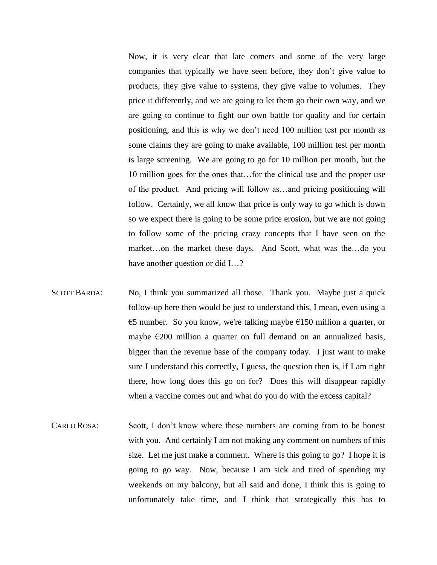Now, it is very clear that late comers and some of the very large companies that typically we have seen before, they don't give value to products, they give value to systems, they give value to volumes. They price it differently, and we are going to let them go their own way, and we are going to continue to fight our own battle for quality and for certain positioning, and this is why we don't need 100 million test per month as some claims they are going to make available, 100 million test per month is large screening. We are going to go for 10 million per month, but the 10 million goes for the ones that…for the clinical use and the proper use of the product. And pricing will follow as…and pricing positioning will follow. Certainly, we all know that price is only way to go which is down so we expect there is going to be some price erosion, but we are not going to follow some of the pricing crazy concepts that I have seen on the market…on the market these days. And Scott, what was the…do you have another question or did I...?

- SCOTT BARDA: No, I think you summarized all those. Thank you. Maybe just a quick follow-up here then would be just to understand this, I mean, even using a €5 number. So you know, we're talking maybe  $€150$  million a quarter, or maybe  $\epsilon$ 200 million a quarter on full demand on an annualized basis, bigger than the revenue base of the company today. I just want to make sure I understand this correctly, I guess, the question then is, if I am right there, how long does this go on for? Does this will disappear rapidly when a vaccine comes out and what do you do with the excess capital?
- CARLO ROSA: Scott, I don't know where these numbers are coming from to be honest with you. And certainly I am not making any comment on numbers of this size. Let me just make a comment. Where is this going to go? I hope it is going to go way. Now, because I am sick and tired of spending my weekends on my balcony, but all said and done, I think this is going to unfortunately take time, and I think that strategically this has to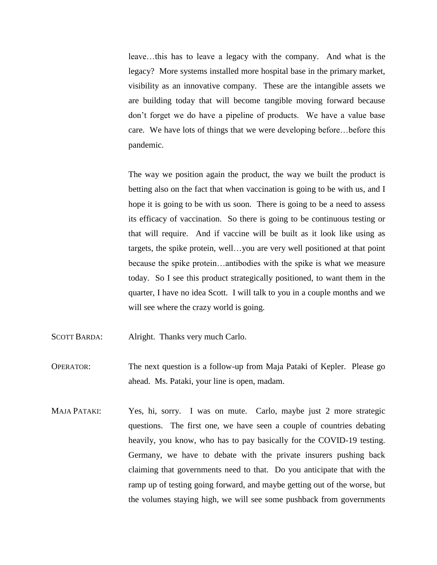leave…this has to leave a legacy with the company. And what is the legacy? More systems installed more hospital base in the primary market, visibility as an innovative company. These are the intangible assets we are building today that will become tangible moving forward because don't forget we do have a pipeline of products. We have a value base care. We have lots of things that we were developing before…before this pandemic.

The way we position again the product, the way we built the product is betting also on the fact that when vaccination is going to be with us, and I hope it is going to be with us soon. There is going to be a need to assess its efficacy of vaccination. So there is going to be continuous testing or that will require. And if vaccine will be built as it look like using as targets, the spike protein, well…you are very well positioned at that point because the spike protein…antibodies with the spike is what we measure today. So I see this product strategically positioned, to want them in the quarter, I have no idea Scott. I will talk to you in a couple months and we will see where the crazy world is going.

SCOTT BARDA: Alright. Thanks very much Carlo.

- OPERATOR: The next question is a follow-up from Maja Pataki of Kepler. Please go ahead. Ms. Pataki, your line is open, madam.
- MAJA PATAKI: Yes, hi, sorry. I was on mute. Carlo, maybe just 2 more strategic questions. The first one, we have seen a couple of countries debating heavily, you know, who has to pay basically for the COVID-19 testing. Germany, we have to debate with the private insurers pushing back claiming that governments need to that. Do you anticipate that with the ramp up of testing going forward, and maybe getting out of the worse, but the volumes staying high, we will see some pushback from governments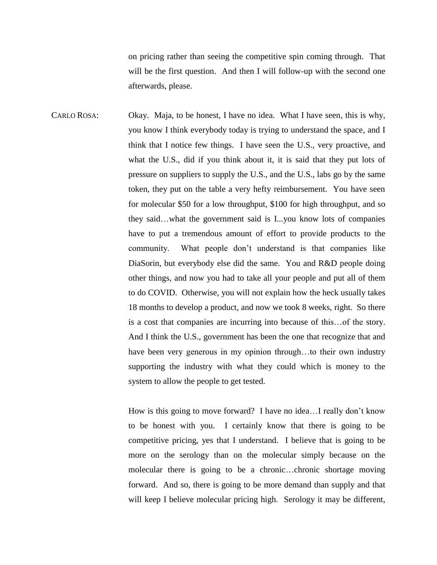on pricing rather than seeing the competitive spin coming through. That will be the first question. And then I will follow-up with the second one afterwards, please.

CARLO ROSA: Okay. Maja, to be honest, I have no idea. What I have seen, this is why, you know I think everybody today is trying to understand the space, and I think that I notice few things. I have seen the U.S., very proactive, and what the U.S., did if you think about it, it is said that they put lots of pressure on suppliers to supply the U.S., and the U.S., labs go by the same token, they put on the table a very hefty reimbursement. You have seen for molecular \$50 for a low throughput, \$100 for high throughput, and so they said…what the government said is I...you know lots of companies have to put a tremendous amount of effort to provide products to the community. What people don't understand is that companies like DiaSorin, but everybody else did the same. You and R&D people doing other things, and now you had to take all your people and put all of them to do COVID. Otherwise, you will not explain how the heck usually takes 18 months to develop a product, and now we took 8 weeks, right. So there is a cost that companies are incurring into because of this…of the story. And I think the U.S., government has been the one that recognize that and have been very generous in my opinion through...to their own industry supporting the industry with what they could which is money to the system to allow the people to get tested.

> How is this going to move forward? I have no idea…I really don't know to be honest with you. I certainly know that there is going to be competitive pricing, yes that I understand. I believe that is going to be more on the serology than on the molecular simply because on the molecular there is going to be a chronic…chronic shortage moving forward. And so, there is going to be more demand than supply and that will keep I believe molecular pricing high. Serology it may be different,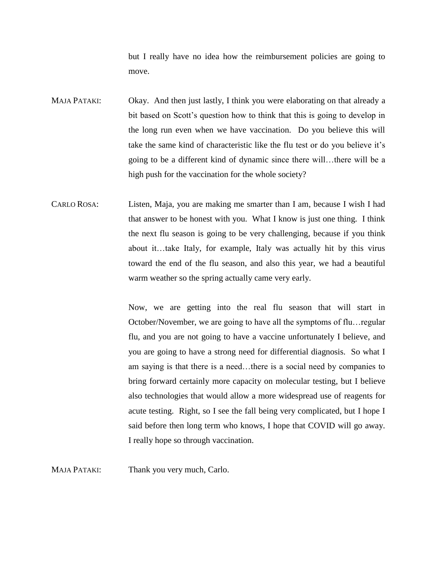but I really have no idea how the reimbursement policies are going to move.

MAJA PATAKI: Okay. And then just lastly, I think you were elaborating on that already a bit based on Scott's question how to think that this is going to develop in the long run even when we have vaccination. Do you believe this will take the same kind of characteristic like the flu test or do you believe it's going to be a different kind of dynamic since there will…there will be a high push for the vaccination for the whole society?

CARLO ROSA: Listen, Maja, you are making me smarter than I am, because I wish I had that answer to be honest with you. What I know is just one thing. I think the next flu season is going to be very challenging, because if you think about it…take Italy, for example, Italy was actually hit by this virus toward the end of the flu season, and also this year, we had a beautiful warm weather so the spring actually came very early.

> Now, we are getting into the real flu season that will start in October/November, we are going to have all the symptoms of flu…regular flu, and you are not going to have a vaccine unfortunately I believe, and you are going to have a strong need for differential diagnosis. So what I am saying is that there is a need…there is a social need by companies to bring forward certainly more capacity on molecular testing, but I believe also technologies that would allow a more widespread use of reagents for acute testing. Right, so I see the fall being very complicated, but I hope I said before then long term who knows, I hope that COVID will go away. I really hope so through vaccination.

MAJA PATAKI: Thank you very much, Carlo.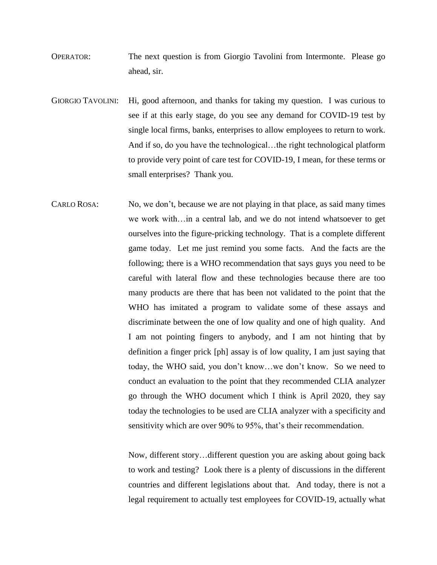- OPERATOR: The next question is from Giorgio Tavolini from Intermonte. Please go ahead, sir.
- GIORGIO TAVOLINI: Hi, good afternoon, and thanks for taking my question. I was curious to see if at this early stage, do you see any demand for COVID-19 test by single local firms, banks, enterprises to allow employees to return to work. And if so, do you have the technological…the right technological platform to provide very point of care test for COVID-19, I mean, for these terms or small enterprises? Thank you.
- CARLO ROSA: No, we don't, because we are not playing in that place, as said many times we work with…in a central lab, and we do not intend whatsoever to get ourselves into the figure-pricking technology. That is a complete different game today. Let me just remind you some facts. And the facts are the following; there is a WHO recommendation that says guys you need to be careful with lateral flow and these technologies because there are too many products are there that has been not validated to the point that the WHO has imitated a program to validate some of these assays and discriminate between the one of low quality and one of high quality. And I am not pointing fingers to anybody, and I am not hinting that by definition a finger prick [ph] assay is of low quality, I am just saying that today, the WHO said, you don't know…we don't know. So we need to conduct an evaluation to the point that they recommended CLIA analyzer go through the WHO document which I think is April 2020, they say today the technologies to be used are CLIA analyzer with a specificity and sensitivity which are over 90% to 95%, that's their recommendation.

Now, different story…different question you are asking about going back to work and testing? Look there is a plenty of discussions in the different countries and different legislations about that. And today, there is not a legal requirement to actually test employees for COVID-19, actually what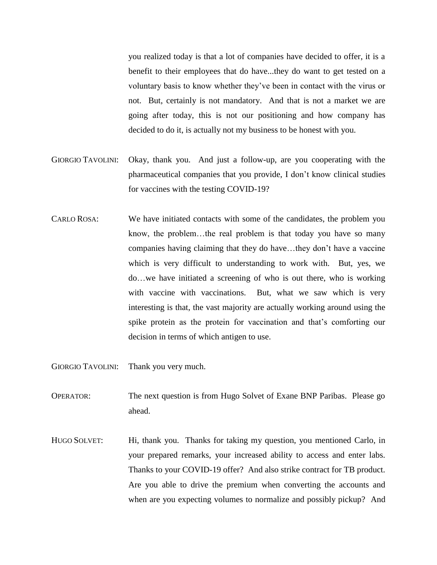you realized today is that a lot of companies have decided to offer, it is a benefit to their employees that do have...they do want to get tested on a voluntary basis to know whether they've been in contact with the virus or not. But, certainly is not mandatory. And that is not a market we are going after today, this is not our positioning and how company has decided to do it, is actually not my business to be honest with you.

- GIORGIO TAVOLINI: Okay, thank you. And just a follow-up, are you cooperating with the pharmaceutical companies that you provide, I don't know clinical studies for vaccines with the testing COVID-19?
- CARLO ROSA: We have initiated contacts with some of the candidates, the problem you know, the problem…the real problem is that today you have so many companies having claiming that they do have…they don't have a vaccine which is very difficult to understanding to work with. But, yes, we do…we have initiated a screening of who is out there, who is working with vaccine with vaccinations. But, what we saw which is very interesting is that, the vast majority are actually working around using the spike protein as the protein for vaccination and that's comforting our decision in terms of which antigen to use.
- GIORGIO TAVOLINI: Thank you very much.
- OPERATOR: The next question is from Hugo Solvet of Exane BNP Paribas. Please go ahead.
- HUGO SOLVET: Hi, thank you. Thanks for taking my question, you mentioned Carlo, in your prepared remarks, your increased ability to access and enter labs. Thanks to your COVID-19 offer? And also strike contract for TB product. Are you able to drive the premium when converting the accounts and when are you expecting volumes to normalize and possibly pickup? And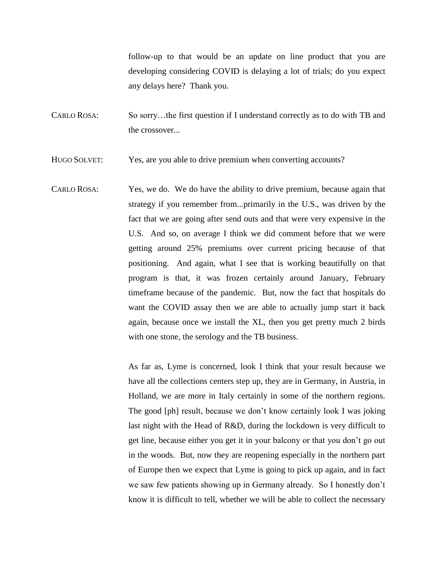follow-up to that would be an update on line product that you are developing considering COVID is delaying a lot of trials; do you expect any delays here? Thank you.

CARLO ROSA: So sorry…the first question if I understand correctly as to do with TB and the crossover...

HUGO SOLVET: Yes, are you able to drive premium when converting accounts?

CARLO ROSA: Yes, we do. We do have the ability to drive premium, because again that strategy if you remember from...primarily in the U.S., was driven by the fact that we are going after send outs and that were very expensive in the U.S. And so, on average I think we did comment before that we were getting around 25% premiums over current pricing because of that positioning. And again, what I see that is working beautifully on that program is that, it was frozen certainly around January, February timeframe because of the pandemic. But, now the fact that hospitals do want the COVID assay then we are able to actually jump start it back again, because once we install the XL, then you get pretty much 2 birds with one stone, the serology and the TB business.

> As far as, Lyme is concerned, look I think that your result because we have all the collections centers step up, they are in Germany, in Austria, in Holland, we are more in Italy certainly in some of the northern regions. The good [ph] result, because we don't know certainly look I was joking last night with the Head of R&D, during the lockdown is very difficult to get line, because either you get it in your balcony or that you don't go out in the woods. But, now they are reopening especially in the northern part of Europe then we expect that Lyme is going to pick up again, and in fact we saw few patients showing up in Germany already. So I honestly don't know it is difficult to tell, whether we will be able to collect the necessary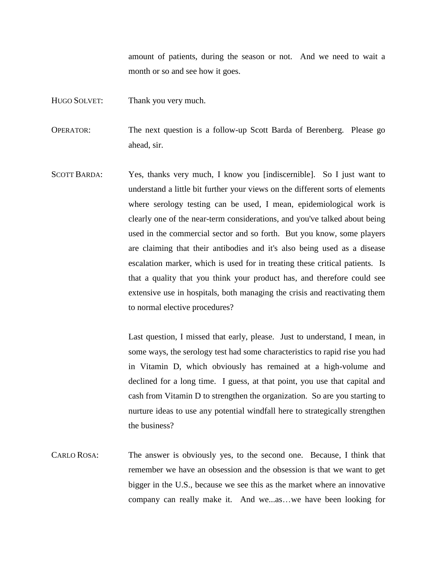amount of patients, during the season or not. And we need to wait a month or so and see how it goes.

## HUGO SOLVET: Thank you very much.

OPERATOR: The next question is a follow-up Scott Barda of Berenberg. Please go ahead, sir.

SCOTT BARDA: Yes, thanks very much, I know you [indiscernible]. So I just want to understand a little bit further your views on the different sorts of elements where serology testing can be used, I mean, epidemiological work is clearly one of the near-term considerations, and you've talked about being used in the commercial sector and so forth. But you know, some players are claiming that their antibodies and it's also being used as a disease escalation marker, which is used for in treating these critical patients. Is that a quality that you think your product has, and therefore could see extensive use in hospitals, both managing the crisis and reactivating them to normal elective procedures?

> Last question, I missed that early, please. Just to understand, I mean, in some ways, the serology test had some characteristics to rapid rise you had in Vitamin D, which obviously has remained at a high-volume and declined for a long time. I guess, at that point, you use that capital and cash from Vitamin D to strengthen the organization. So are you starting to nurture ideas to use any potential windfall here to strategically strengthen the business?

CARLO ROSA: The answer is obviously yes, to the second one. Because, I think that remember we have an obsession and the obsession is that we want to get bigger in the U.S., because we see this as the market where an innovative company can really make it. And we...as…we have been looking for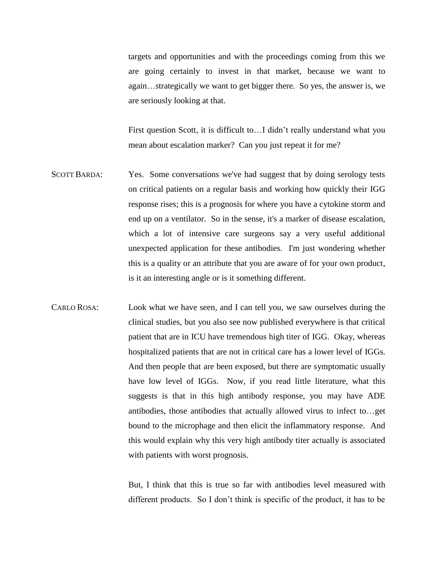targets and opportunities and with the proceedings coming from this we are going certainly to invest in that market, because we want to again…strategically we want to get bigger there. So yes, the answer is, we are seriously looking at that.

First question Scott, it is difficult to…I didn't really understand what you mean about escalation marker? Can you just repeat it for me?

- SCOTT BARDA: Yes. Some conversations we've had suggest that by doing serology tests on critical patients on a regular basis and working how quickly their IGG response rises; this is a prognosis for where you have a cytokine storm and end up on a ventilator. So in the sense, it's a marker of disease escalation, which a lot of intensive care surgeons say a very useful additional unexpected application for these antibodies. I'm just wondering whether this is a quality or an attribute that you are aware of for your own product, is it an interesting angle or is it something different.
- CARLO ROSA: Look what we have seen, and I can tell you, we saw ourselves during the clinical studies, but you also see now published everywhere is that critical patient that are in ICU have tremendous high titer of IGG. Okay, whereas hospitalized patients that are not in critical care has a lower level of IGGs. And then people that are been exposed, but there are symptomatic usually have low level of IGGs. Now, if you read little literature, what this suggests is that in this high antibody response, you may have ADE antibodies, those antibodies that actually allowed virus to infect to…get bound to the microphage and then elicit the inflammatory response. And this would explain why this very high antibody titer actually is associated with patients with worst prognosis.

But, I think that this is true so far with antibodies level measured with different products. So I don't think is specific of the product, it has to be